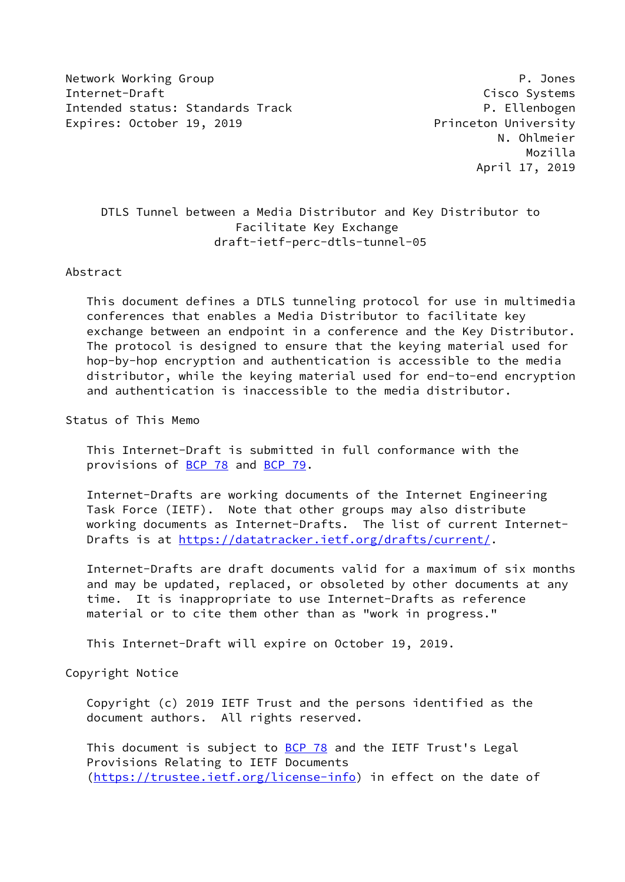Network Working Group **P. Jones** P. Jones Internet-Draft Cisco Systems Intended status: Standards Track P. Ellenbogen Expires: October 19, 2019 **Princeton University** 

 N. Ohlmeier Mozilla April 17, 2019

# DTLS Tunnel between a Media Distributor and Key Distributor to Facilitate Key Exchange draft-ietf-perc-dtls-tunnel-05

### Abstract

 This document defines a DTLS tunneling protocol for use in multimedia conferences that enables a Media Distributor to facilitate key exchange between an endpoint in a conference and the Key Distributor. The protocol is designed to ensure that the keying material used for hop-by-hop encryption and authentication is accessible to the media distributor, while the keying material used for end-to-end encryption and authentication is inaccessible to the media distributor.

Status of This Memo

 This Internet-Draft is submitted in full conformance with the provisions of [BCP 78](https://datatracker.ietf.org/doc/pdf/bcp78) and [BCP 79](https://datatracker.ietf.org/doc/pdf/bcp79).

 Internet-Drafts are working documents of the Internet Engineering Task Force (IETF). Note that other groups may also distribute working documents as Internet-Drafts. The list of current Internet- Drafts is at<https://datatracker.ietf.org/drafts/current/>.

 Internet-Drafts are draft documents valid for a maximum of six months and may be updated, replaced, or obsoleted by other documents at any time. It is inappropriate to use Internet-Drafts as reference material or to cite them other than as "work in progress."

This Internet-Draft will expire on October 19, 2019.

Copyright Notice

 Copyright (c) 2019 IETF Trust and the persons identified as the document authors. All rights reserved.

This document is subject to **[BCP 78](https://datatracker.ietf.org/doc/pdf/bcp78)** and the IETF Trust's Legal Provisions Relating to IETF Documents [\(https://trustee.ietf.org/license-info](https://trustee.ietf.org/license-info)) in effect on the date of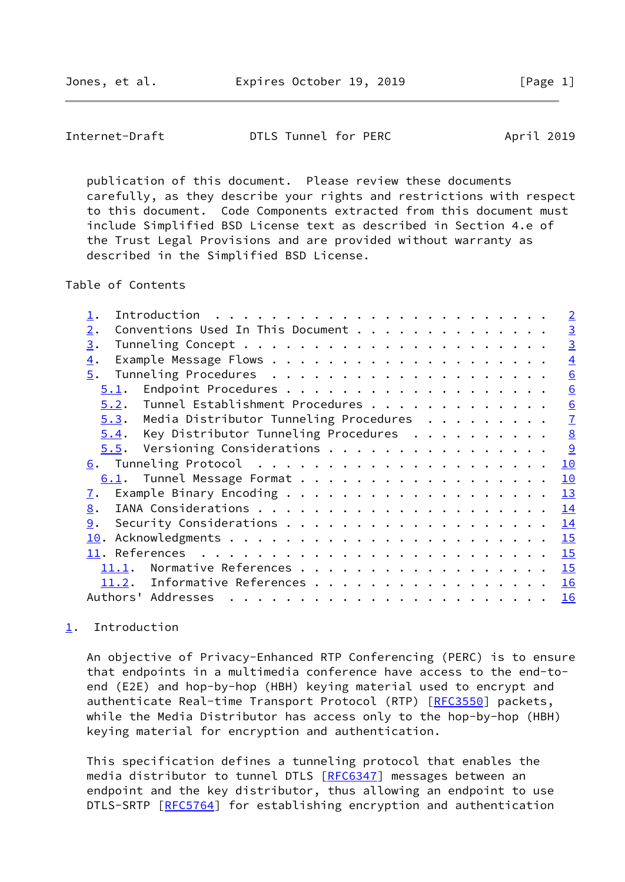<span id="page-1-1"></span>

 publication of this document. Please review these documents carefully, as they describe your rights and restrictions with respect to this document. Code Components extracted from this document must include Simplified BSD License text as described in Section 4.e of the Trust Legal Provisions and are provided without warranty as described in the Simplified BSD License.

Table of Contents

|                                                       | $\overline{2}$ |
|-------------------------------------------------------|----------------|
| Conventions Used In This Document<br>$\overline{2}$ . | $\overline{3}$ |
| 3.                                                    | $\overline{3}$ |
| $\overline{4}$ .                                      | $\overline{4}$ |
| 5.                                                    | 6              |
| 5.1.                                                  | 6              |
| Tunnel Establishment Procedures<br>5.2.               | 6              |
| Media Distributor Tunneling Procedures<br>5.3.        | $\overline{1}$ |
| Key Distributor Tunneling Procedures<br>5.4.          | 8              |
| $5.5$ . Versioning Considerations                     | 9              |
|                                                       | 10             |
| 6.1. Tunnel Message Format                            | 10             |
| $\mathbf{I}$ .                                        | 13             |
| 8.                                                    | 14             |
| 9.                                                    | 14             |
| 10.                                                   | 15             |
|                                                       | 15             |
| 11.1.                                                 | 15             |
| Informative References<br>11.2.                       | 16             |
| Authors' Addresses                                    | 16             |
|                                                       |                |

# <span id="page-1-0"></span>[1](#page-1-0). Introduction

 An objective of Privacy-Enhanced RTP Conferencing (PERC) is to ensure that endpoints in a multimedia conference have access to the end-to end (E2E) and hop-by-hop (HBH) keying material used to encrypt and authenticate Real-time Transport Protocol (RTP) [\[RFC3550](https://datatracker.ietf.org/doc/pdf/rfc3550)] packets, while the Media Distributor has access only to the hop-by-hop (HBH) keying material for encryption and authentication.

 This specification defines a tunneling protocol that enables the media distributor to tunnel DTLS [\[RFC6347](https://datatracker.ietf.org/doc/pdf/rfc6347)] messages between an endpoint and the key distributor, thus allowing an endpoint to use DTLS-SRTP [[RFC5764](https://datatracker.ietf.org/doc/pdf/rfc5764)] for establishing encryption and authentication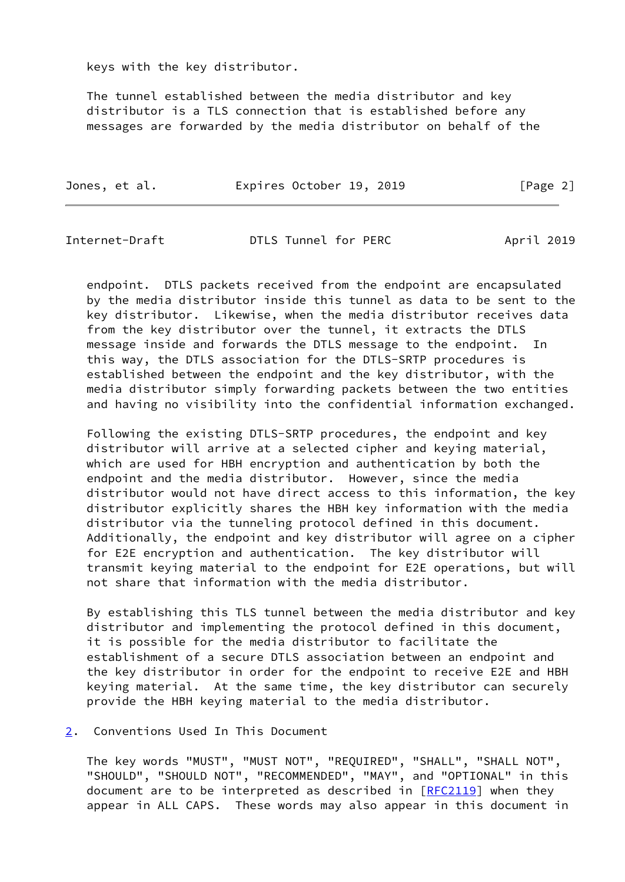keys with the key distributor.

 The tunnel established between the media distributor and key distributor is a TLS connection that is established before any messages are forwarded by the media distributor on behalf of the

| Jones, et al. | Expires October 19, 2019 |  | [Page 2] |
|---------------|--------------------------|--|----------|
|               |                          |  |          |

<span id="page-2-1"></span>Internet-Draft DTLS Tunnel for PERC April 2019

 endpoint. DTLS packets received from the endpoint are encapsulated by the media distributor inside this tunnel as data to be sent to the key distributor. Likewise, when the media distributor receives data from the key distributor over the tunnel, it extracts the DTLS message inside and forwards the DTLS message to the endpoint. In this way, the DTLS association for the DTLS-SRTP procedures is established between the endpoint and the key distributor, with the media distributor simply forwarding packets between the two entities and having no visibility into the confidential information exchanged.

 Following the existing DTLS-SRTP procedures, the endpoint and key distributor will arrive at a selected cipher and keying material, which are used for HBH encryption and authentication by both the endpoint and the media distributor. However, since the media distributor would not have direct access to this information, the key distributor explicitly shares the HBH key information with the media distributor via the tunneling protocol defined in this document. Additionally, the endpoint and key distributor will agree on a cipher for E2E encryption and authentication. The key distributor will transmit keying material to the endpoint for E2E operations, but will not share that information with the media distributor.

 By establishing this TLS tunnel between the media distributor and key distributor and implementing the protocol defined in this document, it is possible for the media distributor to facilitate the establishment of a secure DTLS association between an endpoint and the key distributor in order for the endpoint to receive E2E and HBH keying material. At the same time, the key distributor can securely provide the HBH keying material to the media distributor.

## <span id="page-2-0"></span>[2](#page-2-0). Conventions Used In This Document

 The key words "MUST", "MUST NOT", "REQUIRED", "SHALL", "SHALL NOT", "SHOULD", "SHOULD NOT", "RECOMMENDED", "MAY", and "OPTIONAL" in this document are to be interpreted as described in [\[RFC2119](https://datatracker.ietf.org/doc/pdf/rfc2119)] when they appear in ALL CAPS. These words may also appear in this document in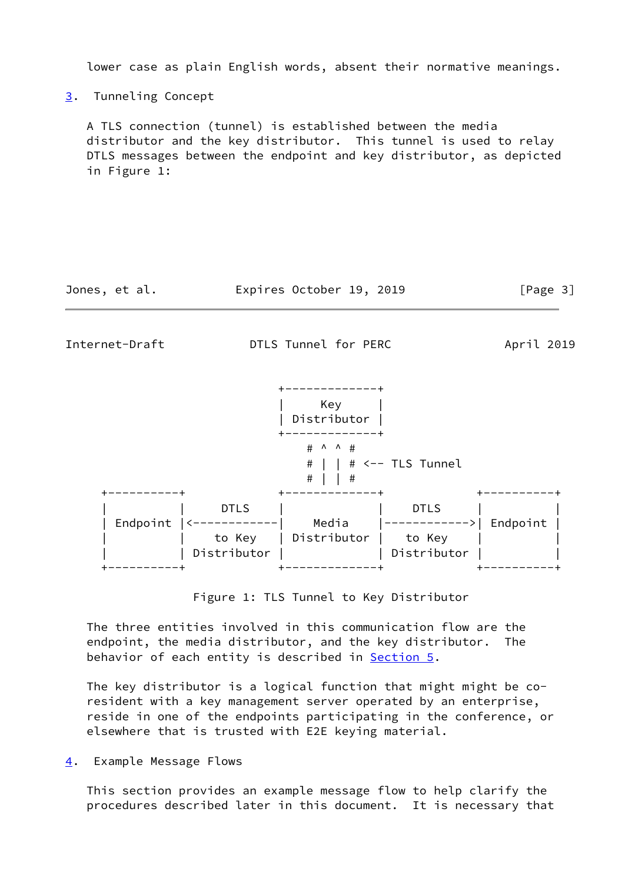lower case as plain English words, absent their normative meanings.

<span id="page-3-0"></span>[3](#page-3-0). Tunneling Concept

 A TLS connection (tunnel) is established between the media distributor and the key distributor. This tunnel is used to relay DTLS messages between the endpoint and key distributor, as depicted in Figure 1:

| Expires October 19, 2019<br>Jones, et al. | [Page 3] |  |
|-------------------------------------------|----------|--|
|-------------------------------------------|----------|--|

<span id="page-3-2"></span>Internet-Draft DTLS Tunnel for PERC April 2019



Figure 1: TLS Tunnel to Key Distributor

 The three entities involved in this communication flow are the endpoint, the media distributor, and the key distributor. The behavior of each entity is described in **Section 5.** 

 The key distributor is a logical function that might might be co resident with a key management server operated by an enterprise, reside in one of the endpoints participating in the conference, or elsewhere that is trusted with E2E keying material.

<span id="page-3-1"></span>[4](#page-3-1). Example Message Flows

 This section provides an example message flow to help clarify the procedures described later in this document. It is necessary that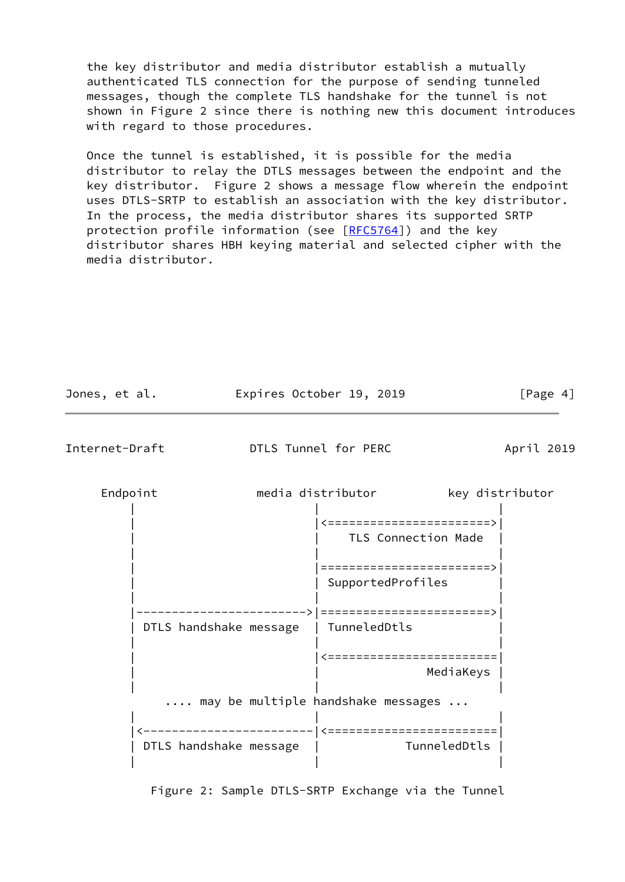the key distributor and media distributor establish a mutually authenticated TLS connection for the purpose of sending tunneled messages, though the complete TLS handshake for the tunnel is not shown in Figure 2 since there is nothing new this document introduces with regard to those procedures.

 Once the tunnel is established, it is possible for the media distributor to relay the DTLS messages between the endpoint and the key distributor. Figure 2 shows a message flow wherein the endpoint uses DTLS-SRTP to establish an association with the key distributor. In the process, the media distributor shares its supported SRTP protection profile information (see [\[RFC5764](https://datatracker.ietf.org/doc/pdf/rfc5764)]) and the key distributor shares HBH keying material and selected cipher with the media distributor.

| Jones, et al.  |                        |  |  | Expires October 19, 2019                          | [Page 4]     |                 |
|----------------|------------------------|--|--|---------------------------------------------------|--------------|-----------------|
| Internet-Draft |                        |  |  | DTLS Tunnel for PERC                              |              | April 2019      |
|                | Endpoint               |  |  | media distributor                                 |              | key distributor |
|                |                        |  |  | 〈========================><br>TLS Connection Made |              |                 |
|                |                        |  |  | ========================><br>SupportedProfiles    |              |                 |
|                | DTLS handshake message |  |  | =========================><br>TunneledDtls        |              |                 |
|                |                        |  |  | =========================                         | MediaKeys    |                 |
|                |                        |  |  | may be multiple handshake messages                |              |                 |
|                | DTLS handshake message |  |  | ___________________________                       | TunneledDtls |                 |

Figure 2: Sample DTLS-SRTP Exchange via the Tunnel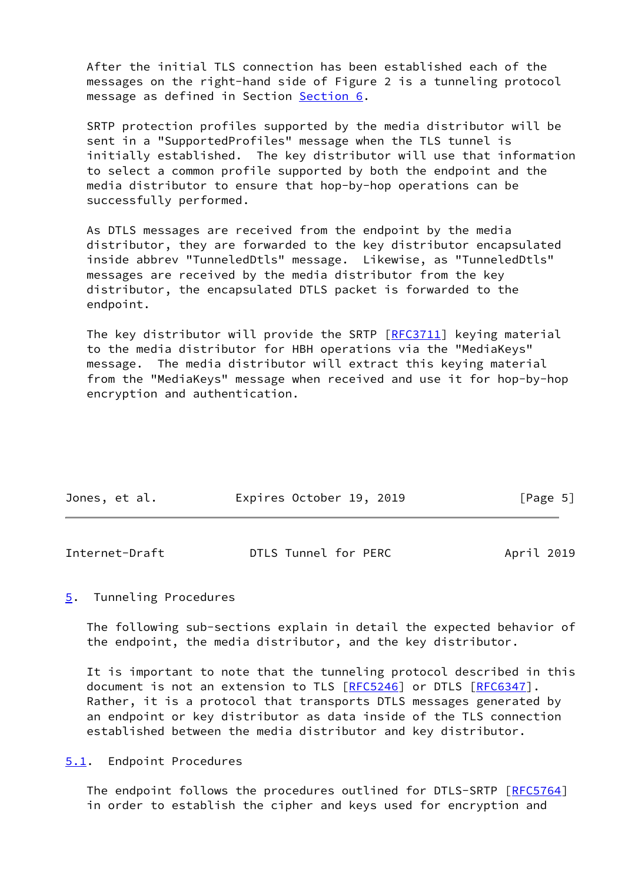After the initial TLS connection has been established each of the messages on the right-hand side of Figure 2 is a tunneling protocol message as defined in Section [Section 6.](#page-10-0)

 SRTP protection profiles supported by the media distributor will be sent in a "SupportedProfiles" message when the TLS tunnel is initially established. The key distributor will use that information to select a common profile supported by both the endpoint and the media distributor to ensure that hop-by-hop operations can be successfully performed.

 As DTLS messages are received from the endpoint by the media distributor, they are forwarded to the key distributor encapsulated inside abbrev "TunneledDtls" message. Likewise, as "TunneledDtls" messages are received by the media distributor from the key distributor, the encapsulated DTLS packet is forwarded to the endpoint.

 The key distributor will provide the SRTP [[RFC3711](https://datatracker.ietf.org/doc/pdf/rfc3711)] keying material to the media distributor for HBH operations via the "MediaKeys" message. The media distributor will extract this keying material from the "MediaKeys" message when received and use it for hop-by-hop encryption and authentication.

| Jones, et al. |  |  | Expires October 19, 2019 |  |  |  | [Page 5] |  |
|---------------|--|--|--------------------------|--|--|--|----------|--|
|---------------|--|--|--------------------------|--|--|--|----------|--|

<span id="page-5-1"></span>

| Internet-Draft | DTLS Tunnel for PERC | April 2019 |
|----------------|----------------------|------------|
|                |                      |            |

## <span id="page-5-0"></span>[5](#page-5-0). Tunneling Procedures

 The following sub-sections explain in detail the expected behavior of the endpoint, the media distributor, and the key distributor.

 It is important to note that the tunneling protocol described in this document is not an extension to TLS [\[RFC5246](https://datatracker.ietf.org/doc/pdf/rfc5246)] or DTLS [[RFC6347](https://datatracker.ietf.org/doc/pdf/rfc6347)]. Rather, it is a protocol that transports DTLS messages generated by an endpoint or key distributor as data inside of the TLS connection established between the media distributor and key distributor.

<span id="page-5-2"></span>[5.1](#page-5-2). Endpoint Procedures

 The endpoint follows the procedures outlined for DTLS-SRTP [[RFC5764\]](https://datatracker.ietf.org/doc/pdf/rfc5764) in order to establish the cipher and keys used for encryption and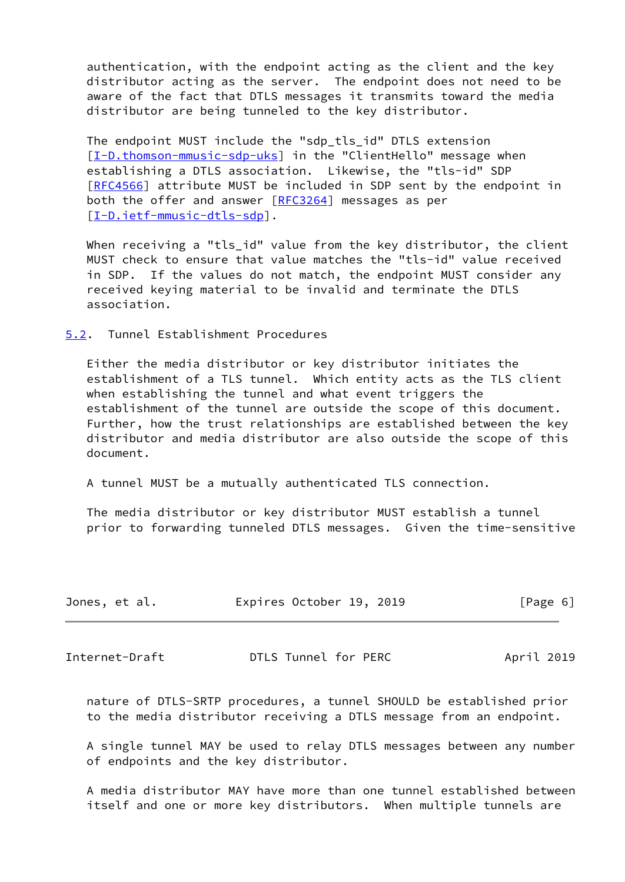authentication, with the endpoint acting as the client and the key distributor acting as the server. The endpoint does not need to be aware of the fact that DTLS messages it transmits toward the media distributor are being tunneled to the key distributor.

The endpoint MUST include the "sdp tls id" DTLS extension [\[I-D.thomson-mmusic-sdp-uks\]](#page-16-2) in the "ClientHello" message when establishing a DTLS association. Likewise, the "tls-id" SDP [\[RFC4566](https://datatracker.ietf.org/doc/pdf/rfc4566)] attribute MUST be included in SDP sent by the endpoint in both the offer and answer [[RFC3264](https://datatracker.ietf.org/doc/pdf/rfc3264)] messages as per [\[I-D.ietf-mmusic-dtls-sdp](#page-16-3)].

When receiving a "tls\_id" value from the key distributor, the client MUST check to ensure that value matches the "tls-id" value received in SDP. If the values do not match, the endpoint MUST consider any received keying material to be invalid and terminate the DTLS association.

<span id="page-6-0"></span>[5.2](#page-6-0). Tunnel Establishment Procedures

 Either the media distributor or key distributor initiates the establishment of a TLS tunnel. Which entity acts as the TLS client when establishing the tunnel and what event triggers the establishment of the tunnel are outside the scope of this document. Further, how the trust relationships are established between the key distributor and media distributor are also outside the scope of this document.

A tunnel MUST be a mutually authenticated TLS connection.

 The media distributor or key distributor MUST establish a tunnel prior to forwarding tunneled DTLS messages. Given the time-sensitive

| Jones, et al. | Expires October 19, 2019 | [Page 6] |  |
|---------------|--------------------------|----------|--|
|               |                          |          |  |

<span id="page-6-1"></span>Internet-Draft DTLS Tunnel for PERC April 2019

 nature of DTLS-SRTP procedures, a tunnel SHOULD be established prior to the media distributor receiving a DTLS message from an endpoint.

 A single tunnel MAY be used to relay DTLS messages between any number of endpoints and the key distributor.

 A media distributor MAY have more than one tunnel established between itself and one or more key distributors. When multiple tunnels are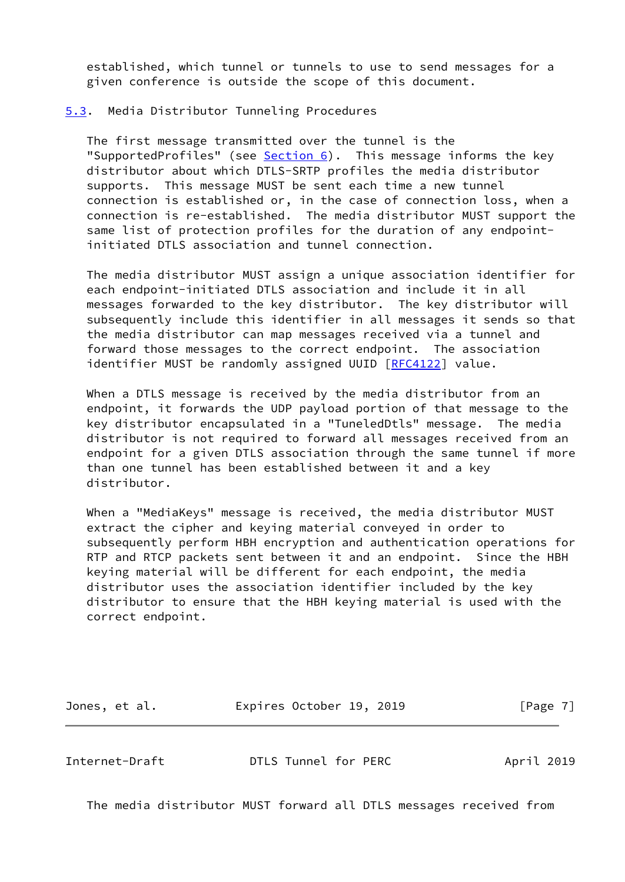established, which tunnel or tunnels to use to send messages for a given conference is outside the scope of this document.

#### <span id="page-7-0"></span>[5.3](#page-7-0). Media Distributor Tunneling Procedures

 The first message transmitted over the tunnel is the "SupportedProfiles" (see [Section 6](#page-10-0)). This message informs the key distributor about which DTLS-SRTP profiles the media distributor supports. This message MUST be sent each time a new tunnel connection is established or, in the case of connection loss, when a connection is re-established. The media distributor MUST support the same list of protection profiles for the duration of any endpoint initiated DTLS association and tunnel connection.

 The media distributor MUST assign a unique association identifier for each endpoint-initiated DTLS association and include it in all messages forwarded to the key distributor. The key distributor will subsequently include this identifier in all messages it sends so that the media distributor can map messages received via a tunnel and forward those messages to the correct endpoint. The association identifier MUST be randomly assigned UUID [[RFC4122](https://datatracker.ietf.org/doc/pdf/rfc4122)] value.

 When a DTLS message is received by the media distributor from an endpoint, it forwards the UDP payload portion of that message to the key distributor encapsulated in a "TuneledDtls" message. The media distributor is not required to forward all messages received from an endpoint for a given DTLS association through the same tunnel if more than one tunnel has been established between it and a key distributor.

 When a "MediaKeys" message is received, the media distributor MUST extract the cipher and keying material conveyed in order to subsequently perform HBH encryption and authentication operations for RTP and RTCP packets sent between it and an endpoint. Since the HBH keying material will be different for each endpoint, the media distributor uses the association identifier included by the key distributor to ensure that the HBH keying material is used with the correct endpoint.

| Jones, et al. | Expires October 19, 2019 | [Page 7] |
|---------------|--------------------------|----------|
|---------------|--------------------------|----------|

<span id="page-7-1"></span>Internet-Draft DTLS Tunnel for PERC April 2019

The media distributor MUST forward all DTLS messages received from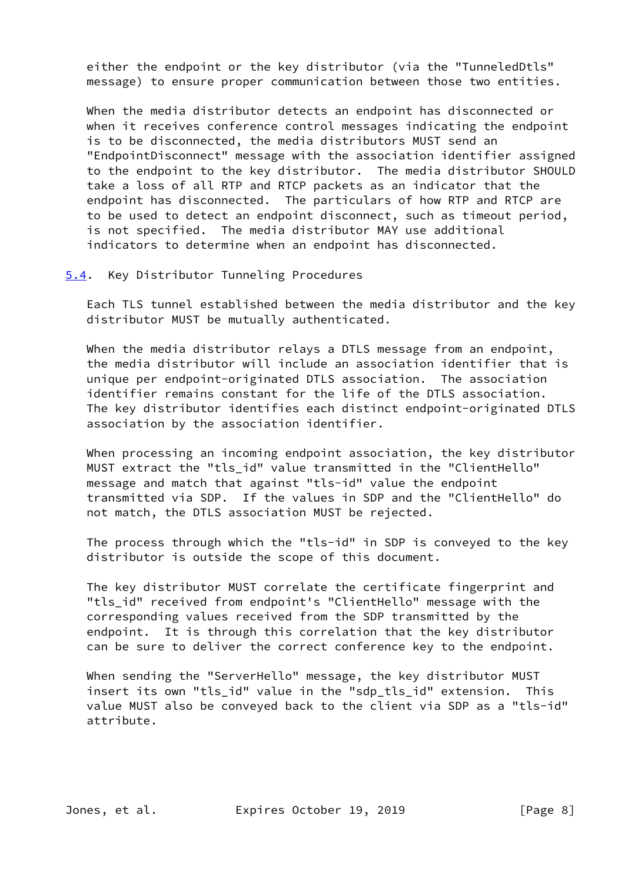either the endpoint or the key distributor (via the "TunneledDtls" message) to ensure proper communication between those two entities.

 When the media distributor detects an endpoint has disconnected or when it receives conference control messages indicating the endpoint is to be disconnected, the media distributors MUST send an "EndpointDisconnect" message with the association identifier assigned to the endpoint to the key distributor. The media distributor SHOULD take a loss of all RTP and RTCP packets as an indicator that the endpoint has disconnected. The particulars of how RTP and RTCP are to be used to detect an endpoint disconnect, such as timeout period, is not specified. The media distributor MAY use additional indicators to determine when an endpoint has disconnected.

<span id="page-8-0"></span>[5.4](#page-8-0). Key Distributor Tunneling Procedures

 Each TLS tunnel established between the media distributor and the key distributor MUST be mutually authenticated.

When the media distributor relays a DTLS message from an endpoint, the media distributor will include an association identifier that is unique per endpoint-originated DTLS association. The association identifier remains constant for the life of the DTLS association. The key distributor identifies each distinct endpoint-originated DTLS association by the association identifier.

 When processing an incoming endpoint association, the key distributor MUST extract the "tls\_id" value transmitted in the "ClientHello" message and match that against "tls-id" value the endpoint transmitted via SDP. If the values in SDP and the "ClientHello" do not match, the DTLS association MUST be rejected.

 The process through which the "tls-id" in SDP is conveyed to the key distributor is outside the scope of this document.

 The key distributor MUST correlate the certificate fingerprint and "tls id" received from endpoint's "ClientHello" message with the corresponding values received from the SDP transmitted by the endpoint. It is through this correlation that the key distributor can be sure to deliver the correct conference key to the endpoint.

 When sending the "ServerHello" message, the key distributor MUST insert its own "tls\_id" value in the "sdp\_tls\_id" extension. This value MUST also be conveyed back to the client via SDP as a "tls-id" attribute.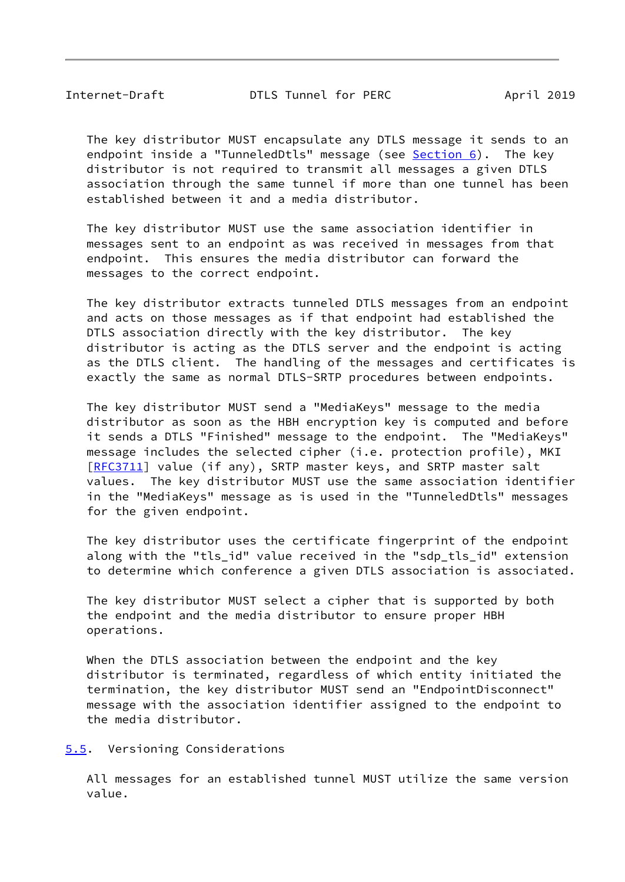<span id="page-9-1"></span> The key distributor MUST encapsulate any DTLS message it sends to an endpoint inside a "TunneledDtls" message (see [Section 6\)](#page-10-0). The key distributor is not required to transmit all messages a given DTLS association through the same tunnel if more than one tunnel has been established between it and a media distributor.

 The key distributor MUST use the same association identifier in messages sent to an endpoint as was received in messages from that endpoint. This ensures the media distributor can forward the messages to the correct endpoint.

 The key distributor extracts tunneled DTLS messages from an endpoint and acts on those messages as if that endpoint had established the DTLS association directly with the key distributor. The key distributor is acting as the DTLS server and the endpoint is acting as the DTLS client. The handling of the messages and certificates is exactly the same as normal DTLS-SRTP procedures between endpoints.

 The key distributor MUST send a "MediaKeys" message to the media distributor as soon as the HBH encryption key is computed and before it sends a DTLS "Finished" message to the endpoint. The "MediaKeys" message includes the selected cipher (i.e. protection profile), MKI [\[RFC3711](https://datatracker.ietf.org/doc/pdf/rfc3711)] value (if any), SRTP master keys, and SRTP master salt values. The key distributor MUST use the same association identifier in the "MediaKeys" message as is used in the "TunneledDtls" messages for the given endpoint.

 The key distributor uses the certificate fingerprint of the endpoint along with the "tls\_id" value received in the "sdp\_tls\_id" extension to determine which conference a given DTLS association is associated.

 The key distributor MUST select a cipher that is supported by both the endpoint and the media distributor to ensure proper HBH operations.

 When the DTLS association between the endpoint and the key distributor is terminated, regardless of which entity initiated the termination, the key distributor MUST send an "EndpointDisconnect" message with the association identifier assigned to the endpoint to the media distributor.

<span id="page-9-0"></span>[5.5](#page-9-0). Versioning Considerations

 All messages for an established tunnel MUST utilize the same version value.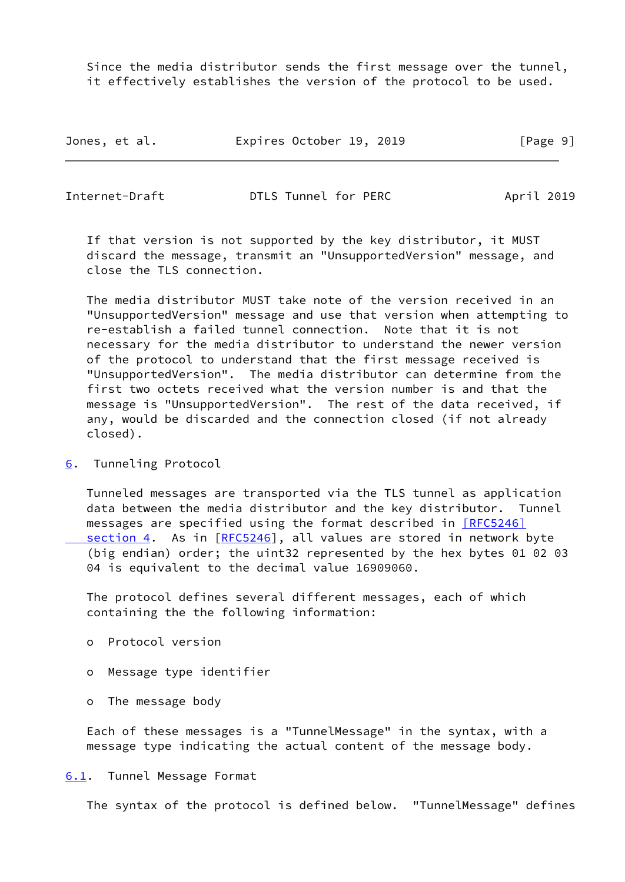Since the media distributor sends the first message over the tunnel, it effectively establishes the version of the protocol to be used.

| Jones, et al. |  | Expires October 19, 2019 |  |  | [Page 9] |
|---------------|--|--------------------------|--|--|----------|
|---------------|--|--------------------------|--|--|----------|

<span id="page-10-1"></span>Internet-Draft DTLS Tunnel for PERC April 2019

 If that version is not supported by the key distributor, it MUST discard the message, transmit an "UnsupportedVersion" message, and close the TLS connection.

 The media distributor MUST take note of the version received in an "UnsupportedVersion" message and use that version when attempting to re-establish a failed tunnel connection. Note that it is not necessary for the media distributor to understand the newer version of the protocol to understand that the first message received is "UnsupportedVersion". The media distributor can determine from the first two octets received what the version number is and that the message is "UnsupportedVersion". The rest of the data received, if any, would be discarded and the connection closed (if not already closed).

<span id="page-10-0"></span>[6](#page-10-0). Tunneling Protocol

 Tunneled messages are transported via the TLS tunnel as application data between the media distributor and the key distributor. Tunnel messages are specified using the format described in **[RFC5246]** section 4. As in [[RFC5246](https://datatracker.ietf.org/doc/pdf/rfc5246)], all values are stored in network byte (big endian) order; the uint32 represented by the hex bytes 01 02 03 04 is equivalent to the decimal value 16909060.

 The protocol defines several different messages, each of which containing the the following information:

- o Protocol version
- o Message type identifier
- o The message body

 Each of these messages is a "TunnelMessage" in the syntax, with a message type indicating the actual content of the message body.

<span id="page-10-2"></span>[6.1](#page-10-2). Tunnel Message Format

The syntax of the protocol is defined below. "TunnelMessage" defines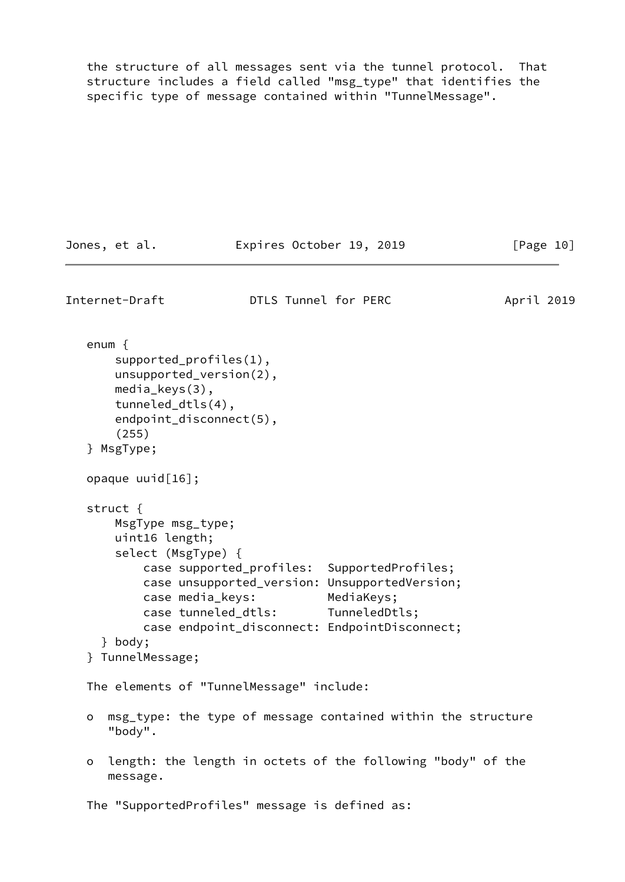the structure of all messages sent via the tunnel protocol. That structure includes a field called "msg\_type" that identifies the specific type of message contained within "TunnelMessage".

```
Jones, et al. Expires October 19, 2019 [Page 10]
Internet-Draft DTLS Tunnel for PERC April 2019
    enum {
       supported_profiles(1),
       unsupported_version(2),
       media_keys(3),
       tunneled_dtls(4),
       endpoint_disconnect(5),
        (255)
   } MsgType;
   opaque uuid[16];
    struct {
       MsgType msg_type;
       uint16 length;
       select (MsgType) {
           case supported_profiles: SupportedProfiles;
           case unsupported_version: UnsupportedVersion;
           case media_keys: MediaKeys;
           case tunneled_dtls: TunneledDtls;
           case endpoint_disconnect: EndpointDisconnect;
     } body;
   } TunnelMessage;
   The elements of "TunnelMessage" include:
   o msg_type: the type of message contained within the structure
      "body".
   o length: the length in octets of the following "body" of the
      message.
   The "SupportedProfiles" message is defined as:
```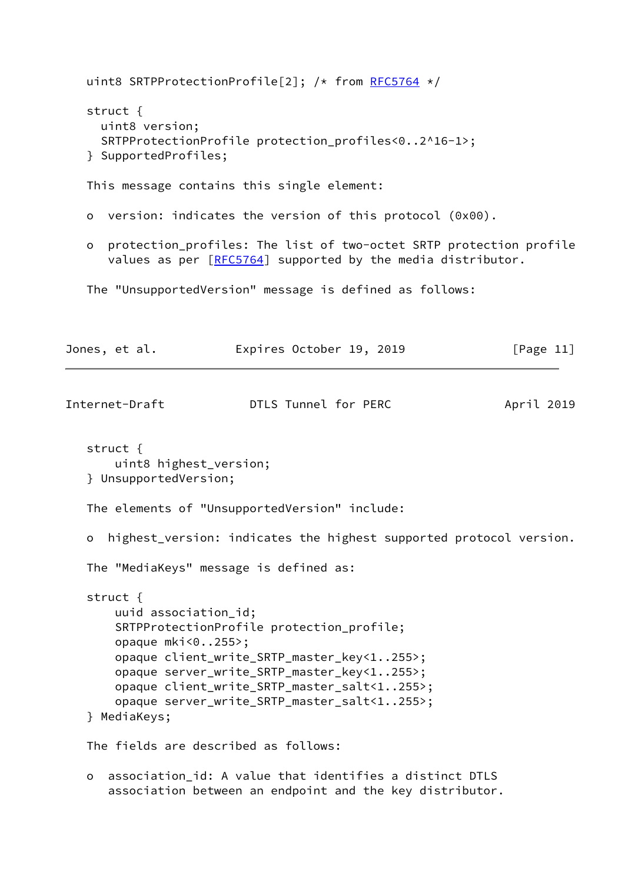uint8 SRTPProtectionProfile[2]; /\* from [RFC5764](https://datatracker.ietf.org/doc/pdf/rfc5764) \*/ struct { uint8 version; SRTPProtectionProfile protection profiles<0..2^16-1>; } SupportedProfiles; This message contains this single element: o version: indicates the version of this protocol (0x00). o protection\_profiles: The list of two-octet SRTP protection profile values as per [\[RFC5764](https://datatracker.ietf.org/doc/pdf/rfc5764)] supported by the media distributor. The "UnsupportedVersion" message is defined as follows: Jones, et al. Expires October 19, 2019 [Page 11] Internet-Draft DTLS Tunnel for PERC April 2019 struct { uint8 highest\_version; } UnsupportedVersion; The elements of "UnsupportedVersion" include: o highest\_version: indicates the highest supported protocol version. The "MediaKeys" message is defined as: struct { uuid association\_id; SRTPProtectionProfile protection\_profile; opaque mki<0..255>; opaque client\_write\_SRTP\_master\_key<1..255>; opaque server\_write\_SRTP\_master\_key<1..255>; opaque client\_write\_SRTP\_master\_salt<1..255>; opaque server\_write\_SRTP\_master\_salt<1..255>; } MediaKeys; The fields are described as follows:

 o association\_id: A value that identifies a distinct DTLS association between an endpoint and the key distributor.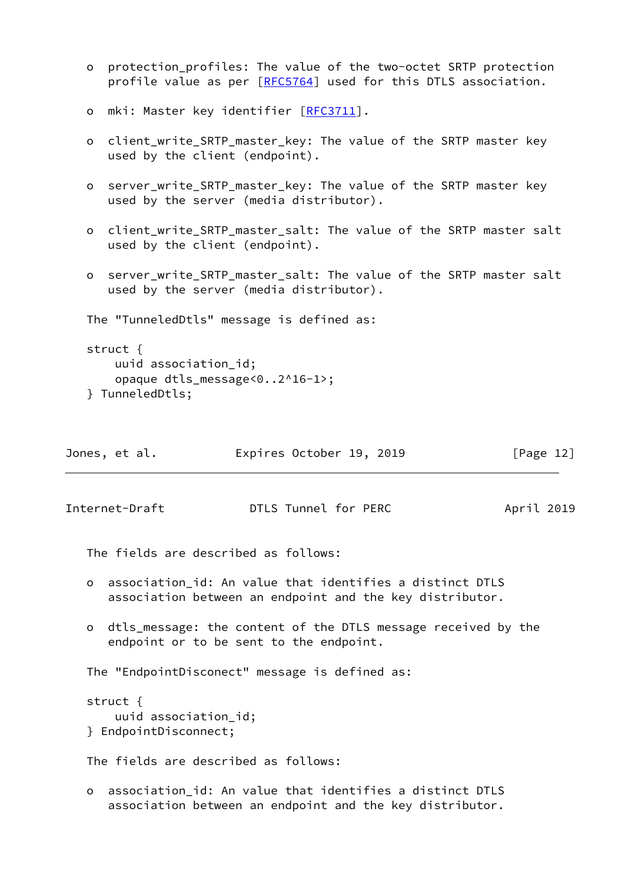```
 o protection_profiles: The value of the two-octet SRTP protection
  [RFC5764] used for this DTLS association.
RFC3711].
o client write SRTP master key: The value of the SRTP master key
   used by the client (endpoint).
 o server_write_SRTP_master_key: The value of the SRTP master key
   used by the server (media distributor).
 o client_write_SRTP_master_salt: The value of the SRTP master salt
   used by the client (endpoint).
 o server_write_SRTP_master_salt: The value of the SRTP master salt
   used by the server (media distributor).
 The "TunneledDtls" message is defined as:
 struct {
    uuid association_id;
    opaque dtls_message<0..2^16-1>;
 } TunneledDtls;
```

| Jones, et al. |  |  | Expires October 19, 2019 |  |  | [Page 12] |  |
|---------------|--|--|--------------------------|--|--|-----------|--|
|---------------|--|--|--------------------------|--|--|-----------|--|

<span id="page-13-0"></span>

The fields are described as follows:

- o association\_id: An value that identifies a distinct DTLS association between an endpoint and the key distributor.
- o dtls\_message: the content of the DTLS message received by the endpoint or to be sent to the endpoint.

The "EndpointDisconect" message is defined as:

```
 struct {
     uuid association_id;
 } EndpointDisconnect;
```
The fields are described as follows:

 o association\_id: An value that identifies a distinct DTLS association between an endpoint and the key distributor.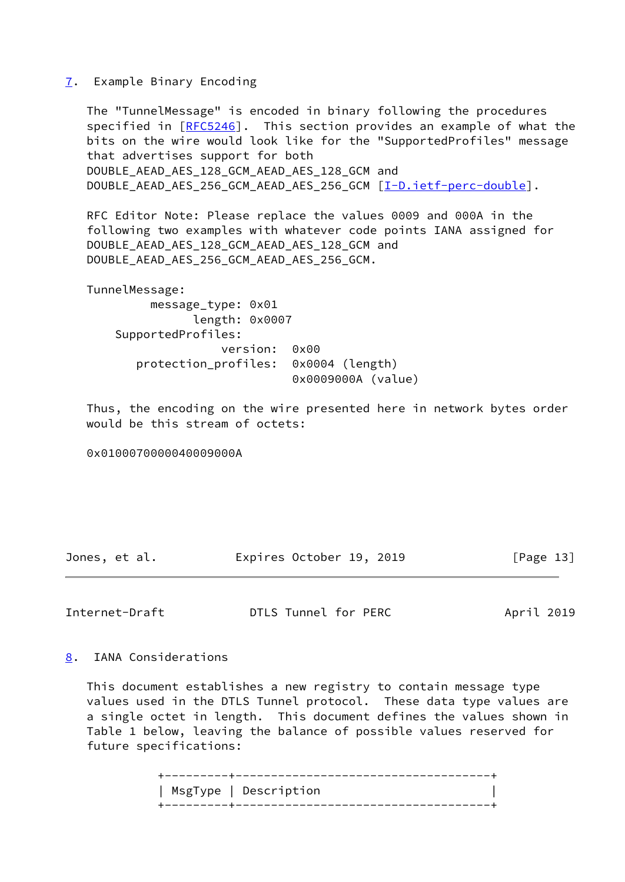### <span id="page-14-0"></span>[7](#page-14-0). Example Binary Encoding

 The "TunnelMessage" is encoded in binary following the procedures specified in [\[RFC5246](https://datatracker.ietf.org/doc/pdf/rfc5246)]. This section provides an example of what the bits on the wire would look like for the "SupportedProfiles" message that advertises support for both DOUBLE\_AEAD\_AES\_128\_GCM\_AEAD\_AES\_128\_GCM and DOUBLE\_AEAD\_AES\_256\_GCM\_AEAD\_AES\_256\_GCM [\[I-D.ietf-perc-double](#page-17-2)].

 RFC Editor Note: Please replace the values 0009 and 000A in the following two examples with whatever code points IANA assigned for DOUBLE\_AEAD\_AES\_128\_GCM\_AEAD\_AES\_128\_GCM and DOUBLE\_AEAD\_AES\_256\_GCM\_AEAD\_AES\_256\_GCM.

 TunnelMessage: message\_type: 0x01 length: 0x0007 SupportedProfiles: version: 0x00 protection\_profiles: 0x0004 (length) 0x0009000A (value)

 Thus, the encoding on the wire presented here in network bytes order would be this stream of octets:

0x0100070000040009000A

| Jones, et al. |  | Expires October 19, 2019 |  | [Page 13] |  |
|---------------|--|--------------------------|--|-----------|--|
|               |  |                          |  |           |  |

<span id="page-14-2"></span>Internet-Draft **DTLS Tunnel for PERC** April 2019

<span id="page-14-1"></span>[8](#page-14-1). IANA Considerations

 This document establishes a new registry to contain message type values used in the DTLS Tunnel protocol. These data type values are a single octet in length. This document defines the values shown in Table 1 below, leaving the balance of possible values reserved for future specifications:

| MsgType   Description          |
|--------------------------------|
| ______________________________ |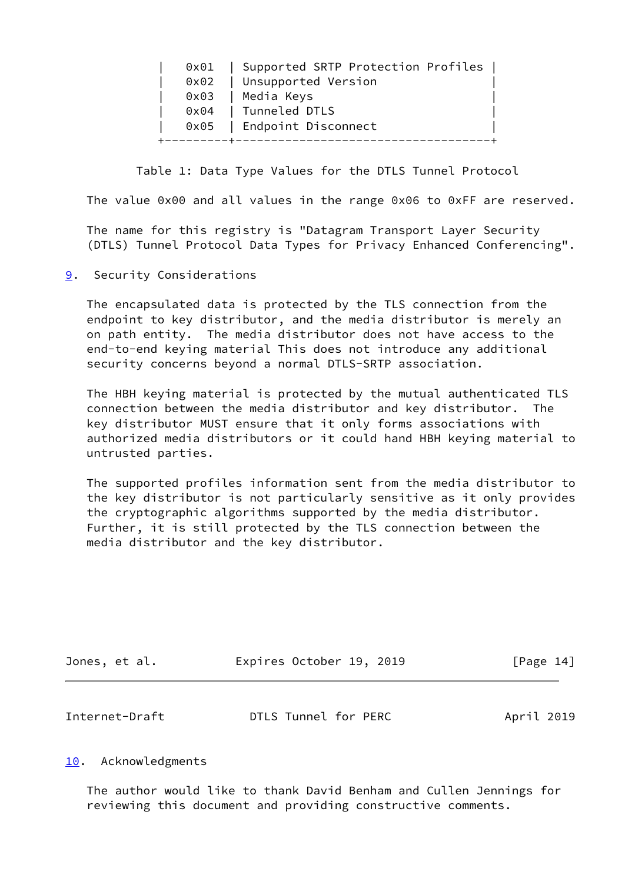|  | 0x01   Supported SRTP Protection Profiles  <br>0x02   Unsupported Version |  |
|--|---------------------------------------------------------------------------|--|
|  | 0x03   Media Keys                                                         |  |
|  | 0x04   Tunneled DTLS                                                      |  |
|  | 0x05   Endpoint Disconnect                                                |  |
|  |                                                                           |  |

Table 1: Data Type Values for the DTLS Tunnel Protocol

The value 0x00 and all values in the range 0x06 to 0xFF are reserved.

 The name for this registry is "Datagram Transport Layer Security (DTLS) Tunnel Protocol Data Types for Privacy Enhanced Conferencing".

<span id="page-15-0"></span>[9](#page-15-0). Security Considerations

 The encapsulated data is protected by the TLS connection from the endpoint to key distributor, and the media distributor is merely an on path entity. The media distributor does not have access to the end-to-end keying material This does not introduce any additional security concerns beyond a normal DTLS-SRTP association.

 The HBH keying material is protected by the mutual authenticated TLS connection between the media distributor and key distributor. The key distributor MUST ensure that it only forms associations with authorized media distributors or it could hand HBH keying material to untrusted parties.

 The supported profiles information sent from the media distributor to the key distributor is not particularly sensitive as it only provides the cryptographic algorithms supported by the media distributor. Further, it is still protected by the TLS connection between the media distributor and the key distributor.

<span id="page-15-2"></span>

| Jones, et al.  | Expires October 19, 2019 | [Page 14]  |
|----------------|--------------------------|------------|
|                |                          |            |
| Internet-Draft | DTLS Tunnel for PERC     | April 2019 |

### <span id="page-15-1"></span>[10.](#page-15-1) Acknowledgments

 The author would like to thank David Benham and Cullen Jennings for reviewing this document and providing constructive comments.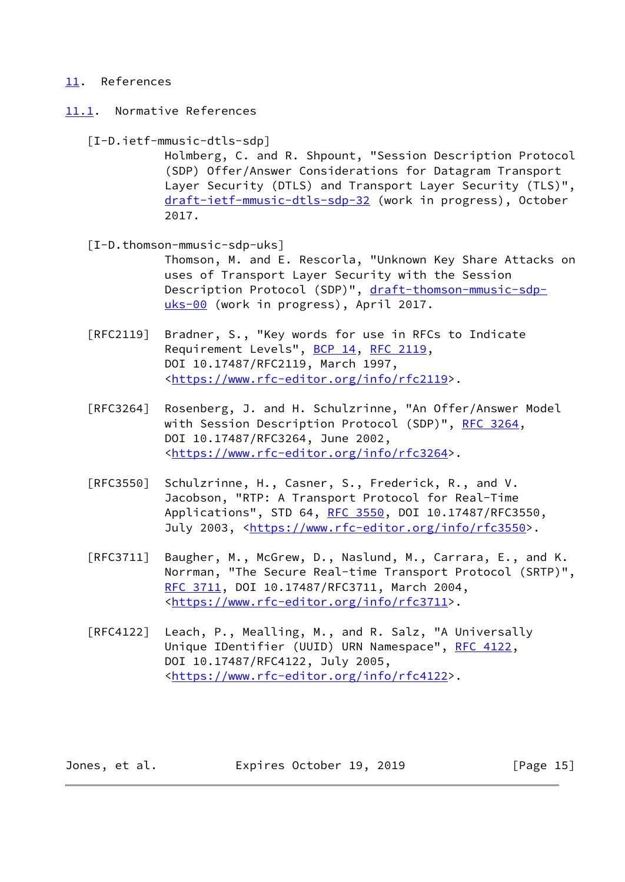### <span id="page-16-0"></span>[11.](#page-16-0) References

<span id="page-16-1"></span>[11.1](#page-16-1). Normative References

<span id="page-16-3"></span> [I-D.ietf-mmusic-dtls-sdp] Holmberg, C. and R. Shpount, "Session Description Protocol (SDP) Offer/Answer Considerations for Datagram Transport Layer Security (DTLS) and Transport Layer Security (TLS)", [draft-ietf-mmusic-dtls-sdp-32](https://datatracker.ietf.org/doc/pdf/draft-ietf-mmusic-dtls-sdp-32) (work in progress), October 2017.

<span id="page-16-2"></span> [I-D.thomson-mmusic-sdp-uks] Thomson, M. and E. Rescorla, "Unknown Key Share Attacks on uses of Transport Layer Security with the Session Description Protocol (SDP)", [draft-thomson-mmusic-sdp-](https://datatracker.ietf.org/doc/pdf/draft-thomson-mmusic-sdp-uks-00)

[uks-00](https://datatracker.ietf.org/doc/pdf/draft-thomson-mmusic-sdp-uks-00) (work in progress), April 2017. [RFC2119] Bradner, S., "Key words for use in RFCs to Indicate

- Requirement Levels", [BCP 14](https://datatracker.ietf.org/doc/pdf/bcp14), [RFC 2119](https://datatracker.ietf.org/doc/pdf/rfc2119), DOI 10.17487/RFC2119, March 1997, <[https://www.rfc-editor.org/info/rfc2119>](https://www.rfc-editor.org/info/rfc2119).
- [RFC3264] Rosenberg, J. and H. Schulzrinne, "An Offer/Answer Model with Session Description Protocol (SDP)", [RFC 3264](https://datatracker.ietf.org/doc/pdf/rfc3264), DOI 10.17487/RFC3264, June 2002, <[https://www.rfc-editor.org/info/rfc3264>](https://www.rfc-editor.org/info/rfc3264).
- [RFC3550] Schulzrinne, H., Casner, S., Frederick, R., and V. Jacobson, "RTP: A Transport Protocol for Real-Time Applications", STD 64, [RFC 3550](https://datatracker.ietf.org/doc/pdf/rfc3550), DOI 10.17487/RFC3550, July 2003, <<https://www.rfc-editor.org/info/rfc3550>>.
- [RFC3711] Baugher, M., McGrew, D., Naslund, M., Carrara, E., and K. Norrman, "The Secure Real-time Transport Protocol (SRTP)", [RFC 3711,](https://datatracker.ietf.org/doc/pdf/rfc3711) DOI 10.17487/RFC3711, March 2004, <[https://www.rfc-editor.org/info/rfc3711>](https://www.rfc-editor.org/info/rfc3711).
- [RFC4122] Leach, P., Mealling, M., and R. Salz, "A Universally Unique IDentifier (UUID) URN Namespace", [RFC 4122,](https://datatracker.ietf.org/doc/pdf/rfc4122) DOI 10.17487/RFC4122, July 2005, <[https://www.rfc-editor.org/info/rfc4122>](https://www.rfc-editor.org/info/rfc4122).

Jones, et al. **Expires October 19, 2019** [Page 15]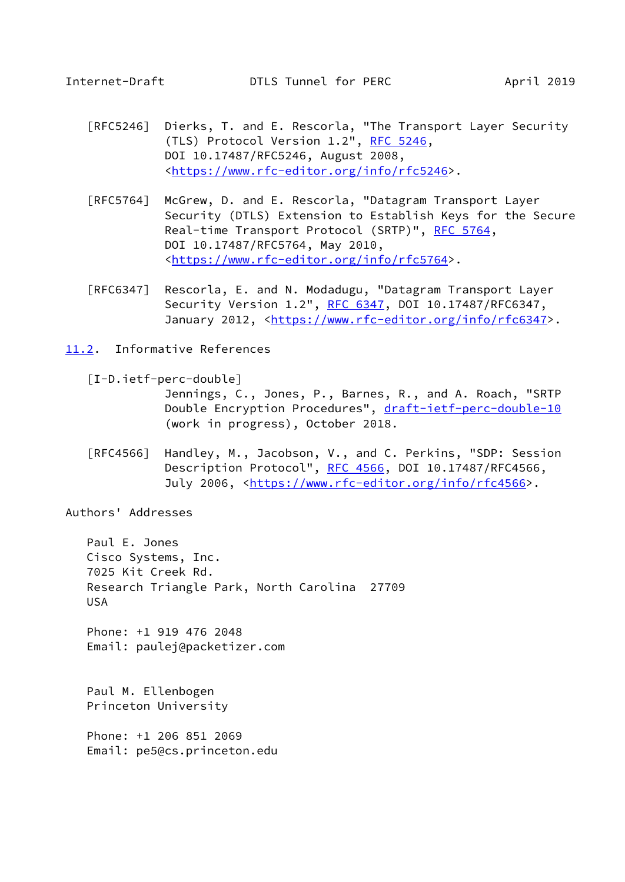- <span id="page-17-1"></span> [RFC5246] Dierks, T. and E. Rescorla, "The Transport Layer Security (TLS) Protocol Version 1.2", [RFC 5246](https://datatracker.ietf.org/doc/pdf/rfc5246), DOI 10.17487/RFC5246, August 2008, <[https://www.rfc-editor.org/info/rfc5246>](https://www.rfc-editor.org/info/rfc5246).
- [RFC5764] McGrew, D. and E. Rescorla, "Datagram Transport Layer Security (DTLS) Extension to Establish Keys for the Secure Real-time Transport Protocol (SRTP)", [RFC 5764](https://datatracker.ietf.org/doc/pdf/rfc5764), DOI 10.17487/RFC5764, May 2010, <[https://www.rfc-editor.org/info/rfc5764>](https://www.rfc-editor.org/info/rfc5764).
- [RFC6347] Rescorla, E. and N. Modadugu, "Datagram Transport Layer Security Version 1.2", [RFC 6347](https://datatracker.ietf.org/doc/pdf/rfc6347), DOI 10.17487/RFC6347, January 2012, [<https://www.rfc-editor.org/info/rfc6347](https://www.rfc-editor.org/info/rfc6347)>.
- <span id="page-17-0"></span>[11.2](#page-17-0). Informative References

<span id="page-17-2"></span>[I-D.ietf-perc-double]

 Jennings, C., Jones, P., Barnes, R., and A. Roach, "SRTP Double Encryption Procedures", [draft-ietf-perc-double-10](https://datatracker.ietf.org/doc/pdf/draft-ietf-perc-double-10) (work in progress), October 2018.

 [RFC4566] Handley, M., Jacobson, V., and C. Perkins, "SDP: Session Description Protocol", [RFC 4566](https://datatracker.ietf.org/doc/pdf/rfc4566), DOI 10.17487/RFC4566, July 2006, <<https://www.rfc-editor.org/info/rfc4566>>.

Authors' Addresses

 Paul E. Jones Cisco Systems, Inc. 7025 Kit Creek Rd. Research Triangle Park, North Carolina 27709 USA

 Phone: +1 919 476 2048 Email: paulej@packetizer.com

 Paul M. Ellenbogen Princeton University

 Phone: +1 206 851 2069 Email: pe5@cs.princeton.edu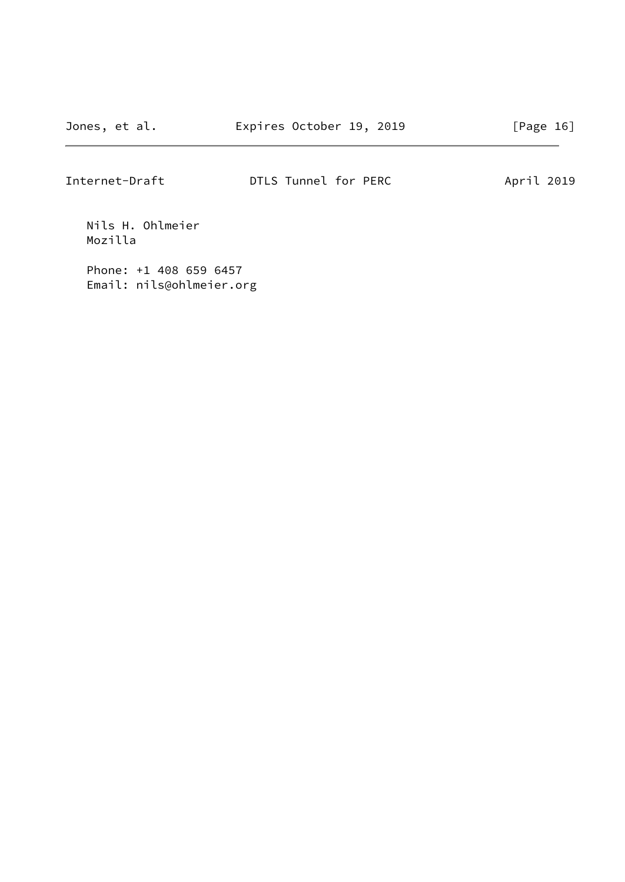Nils H. Ohlmeier Mozilla

 Phone: +1 408 659 6457 Email: nils@ohlmeier.org